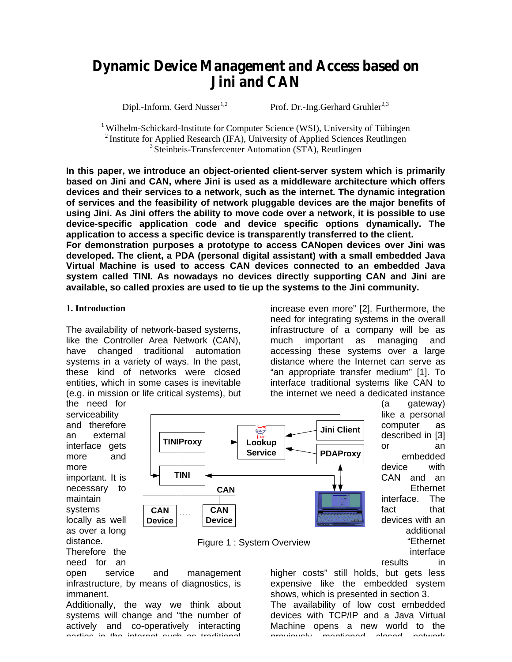# *Dynamic Device Management and Access based on Jini and CAN*

Dipl.-Inform. Gerd Nusser<sup>1,2</sup> Prof. Dr.-Ing.Gerhard Gruhler<sup>2,3</sup>

 $1$  Wilhelm-Schickard-Institute for Computer Science (WSI), University of Tübingen <sup>2</sup> Institute for Applied Research (IFA), University of Applied Sciences Reutlingen <sup>3</sup> Steinbeis-Transfercenter Automation (STA), Reutlingen

**In this paper, we introduce an object-oriented client-server system which is primarily based on Jini and CAN, where Jini is used as a middleware architecture which offers devices and their services to a network, such as the internet. The dynamic integration of services and the feasibility of network pluggable devices are the major benefits of using Jini. As Jini offers the ability to move code over a network, it is possible to use device-specific application code and device specific options dynamically. The application to access a specific device is transparently transferred to the client. For demonstration purposes a prototype to access CANopen devices over Jini was developed. The client, a PDA (personal digital assistant) with a small embedded Java Virtual Machine is used to access CAN devices connected to an embedded Java system called TINI. As nowadays no devices directly supporting CAN and Jini are available, so called proxies are used to tie up the systems to the Jini community.**

#### **1. Introduction**

The availability of network-based systems, like the Controller Area Network (CAN), have changed traditional automation systems in a variety of ways. In the past, these kind of networks were closed entities, which in some cases is inevitable (e.g. in mission or life critical systems), but increase even more" [2]. Furthermore, the need for integrating systems in the overall infrastructure of a company will be as much important as managing and accessing these systems over a large distance where the Internet can serve as "an appropriate transfer medium" [1]. To interface traditional systems like CAN to the internet we need a dedicated instance

the need for serviceability and therefore an external interface gets more and more important. It is necessary to maintain systems locally as well as over a long distance. Therefore the

need for an





open service and management infrastructure, by means of diagnostics, is immanent.

Additionally, the way we think about systems will change and "the number of actively and co-operatively interacting parties in the internet such as traditional

described in [3] or an embedded device with CAN and an Ethernet interface. The fact that devices with an additional "Ethernet interface results in

(a gateway) like a personal computer as

higher costs" still holds, but gets less expensive like the embedded system shows, which is presented in section 3.

The availability of low cost embedded devices with TCP/IP and a Java Virtual Machine opens a new world to the previously mentioned closed network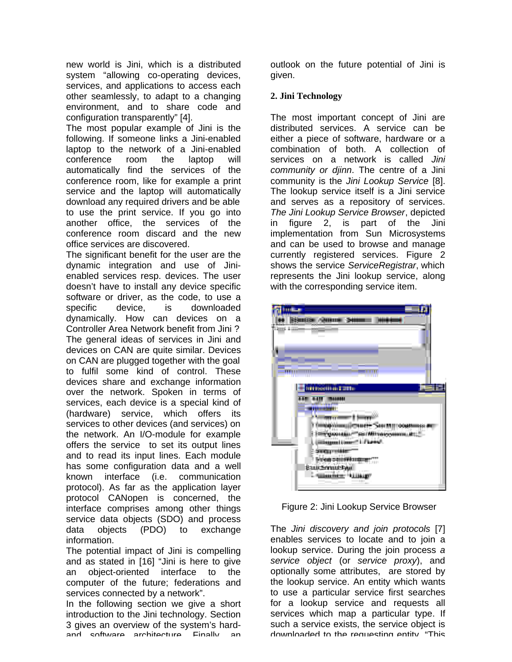new world is Jini, which is a distributed system "allowing co-operating devices, services, and applications to access each other seamlessly, to adapt to a changing environment, and to share code and configuration transparently" [4].

The most popular example of Jini is the following. If someone links a Jini-enabled laptop to the network of a Jini-enabled conference room the laptop will automatically find the services of the conference room, like for example a print service and the laptop will automatically download any required drivers and be able to use the print service. If you go into another office, the services of the conference room discard and the new office services are discovered.

The significant benefit for the user are the dynamic integration and use of Jinienabled services resp. devices. The user doesn't have to install any device specific software or driver, as the code, to use a specific device, is downloaded dynamically. How can devices on a Controller Area Network benefit from Jini ? The general ideas of services in Jini and devices on CAN are quite similar. Devices on CAN are plugged together with the goal to fulfil some kind of control. These devices share and exchange information over the network. Spoken in terms of services, each device is a special kind of (hardware) service, which offers its services to other devices (and services) on the network. An I/O-module for example offers the service to set its output lines and to read its input lines. Each module has some configuration data and a well known interface (i.e. communication protocol). As far as the application layer protocol CANopen is concerned, the interface comprises among other things service data objects (SDO) and process data objects (PDO) to exchange information.

The potential impact of Jini is compelling and as stated in [16] "Jini is here to give an object-oriented interface to the computer of the future; federations and services connected by a network".

In the following section we give a short introduction to the Jini technology. Section 3 gives an overview of the system's hardand software architecture. Finally, an

outlook on the future potential of Jini is given.

## **2. Jini Technology**

The most important concept of Jini are distributed services. A service can be either a piece of software, hardware or a combination of both. A collection of services on a network is called *Jini community or djinn*. The centre of a Jini community is the *Jini Lookup Service* [8]. The lookup service itself is a Jini service and serves as a repository of services. *The Jini Lookup Service Browser*, depicted in figure 2, is part of the Jini implementation from Sun Microsystems and can be used to browse and manage currently registered services. Figure 2 shows the service *ServiceRegistrar*, which represents the Jini lookup service, along with the corresponding service item.



Figure 2: Jini Lookup Service Browser

The *Jini discovery and join protocols* [7] enables services to locate and to join a lookup service. During the join process *a service object* (or *service proxy*), and optionally some attributes, are stored by the lookup service. An entity which wants to use a particular service first searches for a lookup service and requests all services which map a particular type. If such a service exists, the service object is downloaded to the requesting entity. "This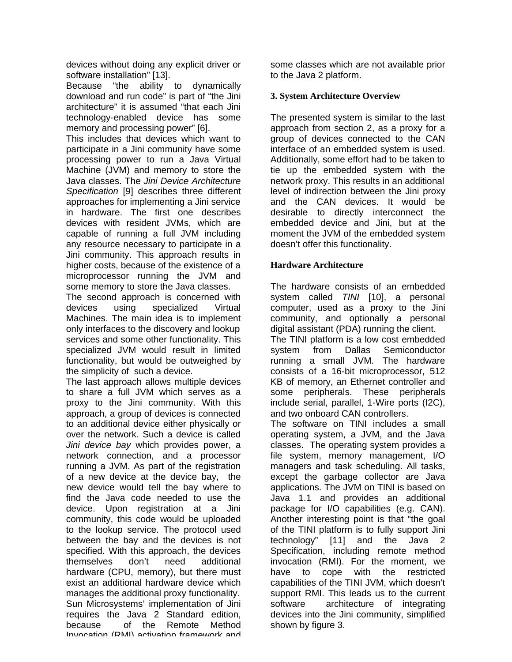devices without doing any explicit driver or software installation" [13].

Because "the ability to dynamically download and run code" is part of "the Jini architecture" it is assumed "that each Jini technology-enabled device has some memory and processing power" [6].

This includes that devices which want to participate in a Jini community have some processing power to run a Java Virtual Machine (JVM) and memory to store the Java classes. The *Jini Device Architecture Specification* [9] describes three different approaches for implementing a Jini service in hardware. The first one describes devices with resident JVMs, which are capable of running a full JVM including any resource necessary to participate in a Jini community. This approach results in higher costs, because of the existence of a microprocessor running the JVM and some memory to store the Java classes.

The second approach is concerned with devices using specialized Virtual Machines. The main idea is to implement only interfaces to the discovery and lookup services and some other functionality. This specialized JVM would result in limited functionality, but would be outweighed by the simplicity of such a device.

The last approach allows multiple devices to share a full JVM which serves as a proxy to the Jini community. With this approach, a group of devices is connected to an additional device either physically or over the network. Such a device is called *Jini device bay* which provides power, a network connection, and a processor running a JVM. As part of the registration of a new device at the device bay, the new device would tell the bay where to find the Java code needed to use the device. Upon registration at a Jini community, this code would be uploaded to the lookup service. The protocol used between the bay and the devices is not specified. With this approach, the devices themselves don't need additional hardware (CPU, memory), but there must exist an additional hardware device which manages the additional proxy functionality. Sun Microsystems' implementation of Jini requires the Java 2 Standard edition, because of the Remote Method Invocation (RMI) activation framework and

some classes which are not available prior to the Java 2 platform.

# **3. System Architecture Overview**

The presented system is similar to the last approach from section 2, as a proxy for a group of devices connected to the CAN interface of an embedded system is used. Additionally, some effort had to be taken to tie up the embedded system with the network proxy. This results in an additional level of indirection between the Jini proxy and the CAN devices. It would be desirable to directly interconnect the embedded device and Jini, but at the moment the JVM of the embedded system doesn't offer this functionality.

## **Hardware Architecture**

The hardware consists of an embedded system called *TINI* [10], a personal computer, used as a proxy to the Jini community, and optionally a personal digital assistant (PDA) running the client. The TINI platform is a low cost embedded system from Dallas Semiconductor running a small JVM. The hardware consists of a 16-bit microprocessor, 512 KB of memory, an Ethernet controller and some peripherals. These peripherals include serial, parallel, 1-Wire ports (I2C), and two onboard CAN controllers. The software on TINI includes a small operating system, a JVM, and the Java classes. The operating system provides a file system, memory management, I/O managers and task scheduling. All tasks, except the garbage collector are Java applications. The JVM on TINI is based on Java 1.1 and provides an additional package for I/O capabilities (e.g. CAN). Another interesting point is that "the goal of the TINI platform is to fully support Jini technology" [11] and the Java 2 Specification, including remote method invocation (RMI). For the moment, we have to cope with the restricted capabilities of the TINI JVM, which doesn't support RMI. This leads us to the current software architecture of integrating devices into the Jini community, simplified shown by figure 3.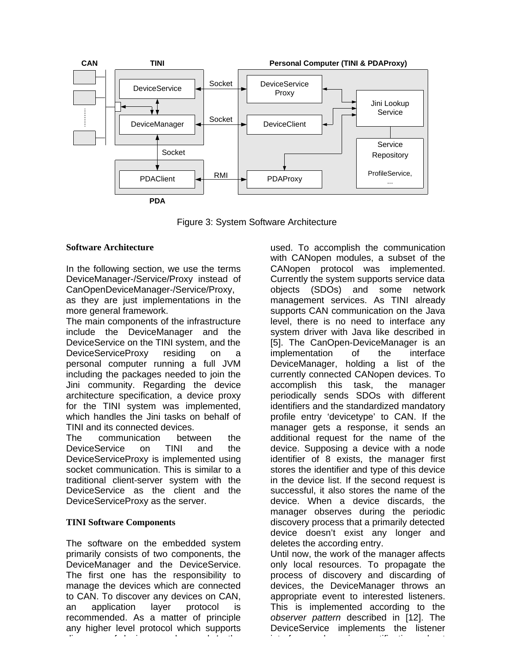

Figure 3: System Software Architecture

#### **Software Architecture**

In the following section, we use the terms DeviceManager-/Service/Proxy instead of CanOpenDeviceManager-/Service/Proxy, as they are just implementations in the more general framework.

The main components of the infrastructure include the DeviceManager and the DeviceService on the TINI system, and the DeviceServiceProxy residing on a personal computer running a full JVM including the packages needed to join the Jini community. Regarding the device architecture specification, a device proxy for the TINI system was implemented, which handles the Jini tasks on behalf of TINI and its connected devices.

The communication between the DeviceService on TINI and the DeviceServiceProxy is implemented using socket communication. This is similar to a traditional client-server system with the DeviceService as the client and the DeviceServiceProxy as the server.

## **TINI Software Components**

The software on the embedded system primarily consists of two components, the DeviceManager and the DeviceService. The first one has the responsibility to manage the devices which are connected to CAN. To discover any devices on CAN, an application layer protocol is recommended. As a matter of principle any higher level protocol which supports discovery of devices can be used. In the

used. To accomplish the communication with CANopen modules, a subset of the CANopen protocol was implemented. Currently the system supports service data objects (SDOs) and some network management services. As TINI already supports CAN communication on the Java level, there is no need to interface any system driver with Java like described in [5]. The CanOpen-DeviceManager is an implementation of the interface DeviceManager, holding a list of the currently connected CANopen devices. To accomplish this task, the manager periodically sends SDOs with different identifiers and the standardized mandatory profile entry 'devicetype' to CAN. If the manager gets a response, it sends an additional request for the name of the device. Supposing a device with a node identifier of 8 exists, the manager first stores the identifier and type of this device in the device list. If the second request is successful, it also stores the name of the device. When a device discards, the manager observes during the periodic discovery process that a primarily detected device doesn't exist any longer and deletes the according entry. Until now, the work of the manager affects

only local resources. To propagate the process of discovery and discarding of devices, the DeviceManager throws an appropriate event to interested listeners. This is implemented according to the *observer pattern* described in [12]. The DeviceService implements the listener interface and receives notifications about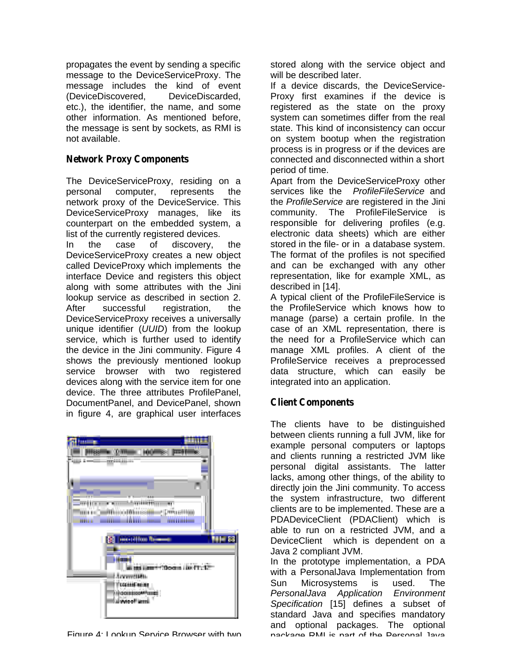propagates the event by sending a specific message to the DeviceServiceProxy. The message includes the kind of event (DeviceDiscovered, DeviceDiscarded, etc.), the identifier, the name, and some other information. As mentioned before, the message is sent by sockets, as RMI is not available.

## *Network Proxy Components*

The DeviceServiceProxy, residing on a personal computer, represents the network proxy of the DeviceService. This DeviceServiceProxy manages, like its counterpart on the embedded system, a list of the currently registered devices.

In the case of discovery, the DeviceServiceProxy creates a new object called DeviceProxy which implements the interface Device and registers this object along with some attributes with the Jini lookup service as described in section 2. After successful registration, the DeviceServiceProxy receives a universally unique identifier (*UUID*) from the lookup service, which is further used to identify the device in the Jini community. Figure 4 shows the previously mentioned lookup service browser with two registered devices along with the service item for one device. The three attributes ProfilePanel, DocumentPanel, and DevicePanel, shown in figure 4, are graphical user interfaces



Figure 4: Lookup Service Browser with two package PMI is part of the Personal Java

stored along with the service object and will be described later.

If a device discards, the DeviceService-Proxy first examines if the device is registered as the state on the proxy system can sometimes differ from the real state. This kind of inconsistency can occur on system bootup when the registration process is in progress or if the devices are connected and disconnected within a short period of time.

Apart from the DeviceServiceProxy other services like the *ProfileFileService* and the *ProfileService* are registered in the Jini community. The ProfileFileService is responsible for delivering profiles (e.g. electronic data sheets) which are either stored in the file- or in a database system. The format of the profiles is not specified and can be exchanged with any other representation, like for example XML, as described in [14].

A typical client of the ProfileFileService is the ProfileService which knows how to manage (parse) a certain profile. In the case of an XML representation, there is the need for a ProfileService which can manage XML profiles. A client of the ProfileService receives a preprocessed data structure, which can easily be integrated into an application.

# *Client Components*

The clients have to be distinguished between clients running a full JVM, like for example personal computers or laptops and clients running a restricted JVM like personal digital assistants. The latter lacks, among other things, of the ability to directly join the Jini community. To access the system infrastructure, two different clients are to be implemented. These are a PDADeviceClient (PDAClient) which is able to run on a restricted JVM, and a DeviceClient which is dependent on a Java 2 compliant JVM.

In the prototype implementation, a PDA with a PersonalJava Implementation from Sun Microsystems is used. The *PersonalJava Application Environment Specification* [15] defines a subset of standard Java and specifies mandatory and optional packages. The optional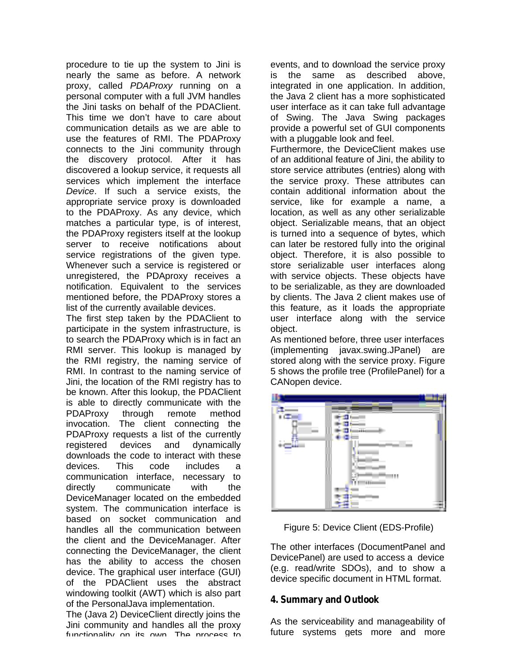procedure to tie up the system to Jini is nearly the same as before. A network proxy, called *PDAProxy* running on a personal computer with a full JVM handles the Jini tasks on behalf of the PDAClient. This time we don't have to care about communication details as we are able to use the features of RMI. The PDAProxy connects to the Jini community through the discovery protocol. After it has discovered a lookup service, it requests all services which implement the interface *Device*. If such a service exists, the appropriate service proxy is downloaded to the PDAProxy. As any device, which matches a particular type, is of interest, the PDAProxy registers itself at the lookup server to receive notifications about service registrations of the given type. Whenever such a service is registered or unregistered, the PDAproxy receives a notification. Equivalent to the services mentioned before, the PDAProxy stores a list of the currently available devices.

The first step taken by the PDAClient to participate in the system infrastructure, is to search the PDAProxy which is in fact an RMI server. This lookup is managed by the RMI registry, the naming service of RMI. In contrast to the naming service of Jini, the location of the RMI registry has to be known. After this lookup, the PDAClient is able to directly communicate with the PDAProxy through remote method invocation. The client connecting the PDAProxy requests a list of the currently registered devices and dynamically downloads the code to interact with these devices. This code includes a communication interface, necessary to directly communicate with the DeviceManager located on the embedded system. The communication interface is based on socket communication and handles all the communication between the client and the DeviceManager. After connecting the DeviceManager, the client has the ability to access the chosen device. The graphical user interface (GUI) of the PDAClient uses the abstract windowing toolkit (AWT) which is also part of the PersonalJava implementation.

The (Java 2) DeviceClient directly joins the Jini community and handles all the proxy functionality on ite own The process to

events, and to download the service proxy is the same as described above, integrated in one application. In addition, the Java 2 client has a more sophisticated user interface as it can take full advantage of Swing. The Java Swing packages provide a powerful set of GUI components with a pluggable look and feel.

Furthermore, the DeviceClient makes use of an additional feature of Jini, the ability to store service attributes (entries) along with the service proxy. These attributes can contain additional information about the service, like for example a name, a location, as well as any other serializable object. Serializable means, that an object is turned into a sequence of bytes, which can later be restored fully into the original object. Therefore, it is also possible to store serializable user interfaces along with service objects. These objects have to be serializable, as they are downloaded by clients. The Java 2 client makes use of this feature, as it loads the appropriate user interface along with the service object.

As mentioned before, three user interfaces (implementing javax.swing.JPanel) are stored along with the service proxy. Figure 5 shows the profile tree (ProfilePanel) for a CANopen device.



Figure 5: Device Client (EDS-Profile)

The other interfaces (DocumentPanel and DevicePanel) are used to access a device (e.g. read/write SDOs), and to show a device specific document in HTML format.

# *4. Summary and Outlook*

As the serviceability and manageability of future systems gets more and more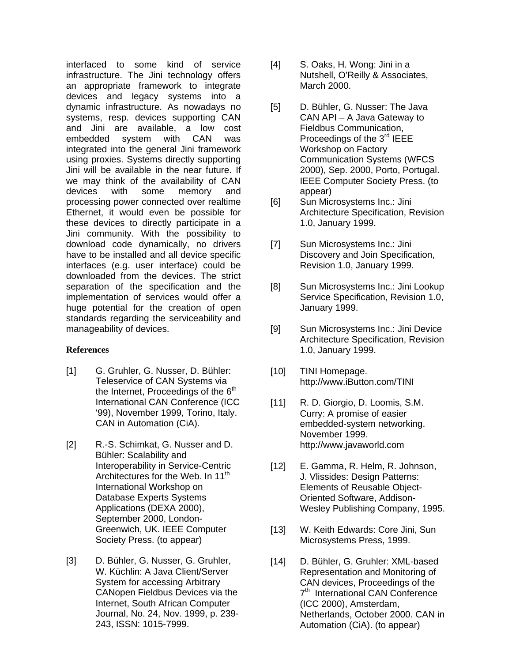interfaced to some kind of service infrastructure. The Jini technology offers an appropriate framework to integrate devices and legacy systems into a dynamic infrastructure. As nowadays no systems, resp. devices supporting CAN and Jini are available, a low cost embedded system with CAN was integrated into the general Jini framework using proxies. Systems directly supporting Jini will be available in the near future. If we may think of the availability of CAN devices with some memory and processing power connected over realtime Ethernet, it would even be possible for these devices to directly participate in a Jini community. With the possibility to download code dynamically, no drivers have to be installed and all device specific interfaces (e.g. user interface) could be downloaded from the devices. The strict separation of the specification and the implementation of services would offer a huge potential for the creation of open standards regarding the serviceability and manageability of devices.

## **References**

- [1] G. Gruhler, G. Nusser, D. Bühler: Teleservice of CAN Systems via the Internet, Proceedings of the  $6<sup>th</sup>$ International CAN Conference (ICC '99), November 1999, Torino, Italy. CAN in Automation (CiA).
- [2] R.-S. Schimkat, G. Nusser and D. Bühler: Scalability and Interoperability in Service-Centric Architectures for the Web. In 11<sup>th</sup> International Workshop on Database Experts Systems Applications (DEXA 2000), September 2000, London-Greenwich, UK. IEEE Computer Society Press. (to appear)
- [3] D. Bühler, G. Nusser, G. Gruhler, W. Küchlin: A Java Client/Server System for accessing Arbitrary CANopen Fieldbus Devices via the Internet, South African Computer Journal, No. 24, Nov. 1999, p. 239- 243, ISSN: 1015-7999.
- [4] S. Oaks, H. Wong: Jini in a Nutshell, O'Reilly & Associates, March 2000.
- [5] D. Bühler, G. Nusser: The Java CAN API – A Java Gateway to Fieldbus Communication, Proceedings of the 3<sup>rd</sup> IEEE Workshop on Factory Communication Systems (WFCS 2000), Sep. 2000, Porto, Portugal. IEEE Computer Society Press. (to appear)
- [6] Sun Microsystems Inc.: Jini Architecture Specification, Revision 1.0, January 1999.
- [7] Sun Microsystems Inc.: Jini Discovery and Join Specification, Revision 1.0, January 1999.
- [8] Sun Microsystems Inc.: Jini Lookup Service Specification, Revision 1.0, January 1999.
- [9] Sun Microsystems Inc.: Jini Device Architecture Specification, Revision 1.0, January 1999.
- [10] TINI Homepage. http://www.iButton.com/TINI
- [11] R. D. Giorgio, D. Loomis, S.M. Curry: A promise of easier embedded-system networking. November 1999. http://www.javaworld.com
- [12] E. Gamma, R. Helm, R. Johnson, J. Vlissides: Design Patterns: Elements of Reusable Object-Oriented Software, Addison-Wesley Publishing Company, 1995.
- [13] W. Keith Edwards: Core Jini, Sun Microsystems Press, 1999.
- [14] D. Bühler, G. Gruhler: XML-based Representation and Monitoring of CAN devices, Proceedings of the 7<sup>th</sup> International CAN Conference (ICC 2000), Amsterdam, Netherlands, October 2000. CAN in Automation (CiA). (to appear)